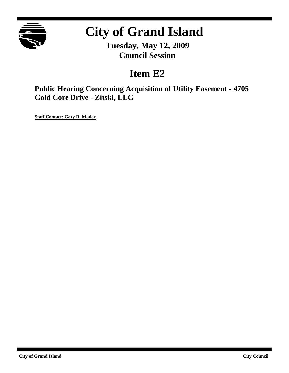

# **City of Grand Island**

**Tuesday, May 12, 2009 Council Session**

## **Item E2**

**Public Hearing Concerning Acquisition of Utility Easement - 4705 Gold Core Drive - Zitski, LLC**

**Staff Contact: Gary R. Mader**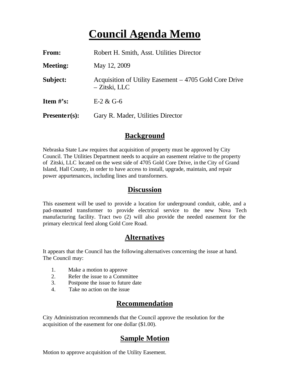# **Council Agenda Memo**

| From:                          | Robert H. Smith, Asst. Utilities Director                               |
|--------------------------------|-------------------------------------------------------------------------|
| <b>Meeting:</b>                | May 12, 2009                                                            |
| Subject:                       | Acquisition of Utility Easement – 4705 Gold Core Drive<br>– Zitski, LLC |
| <b>Item <math>\#</math>'s:</b> | $E-2 & G-6$                                                             |
| $Presenter(s):$                | Gary R. Mader, Utilities Director                                       |

#### **Background**

Nebraska State Law requires that acquisition of property must be approved by City Council. The Utilities Department needs to acquire an easement relative to the property of Zitski, LLC located on the west side of 4705 Gold Core Drive, in the City of Grand Island, Hall County, in order to have access to install, upgrade, maintain, and repair power appurtenances, including lines and transformers.

#### **Discussion**

This easement will be used to provide a location for underground conduit, cable, and a pad-mounted transformer to provide electrical service to the new Nova Tech manufacturing facility. Tract two (2) will also provide the needed easement for the primary electrical feed along Gold Core Road.

### **Alternatives**

It appears that the Council has the following alternatives concerning the issue at hand. The Council may:

- 1. Make a motion to approve
- 2. Refer the issue to a Committee
- 3. Postpone the issue to future date
- 4. Take no action on the issue

### **Recommendation**

City Administration recommends that the Council approve the resolution for the acquisition of the easement for one dollar (\$1.00).

#### **Sample Motion**

Motion to approve acquisition of the Utility Easement.